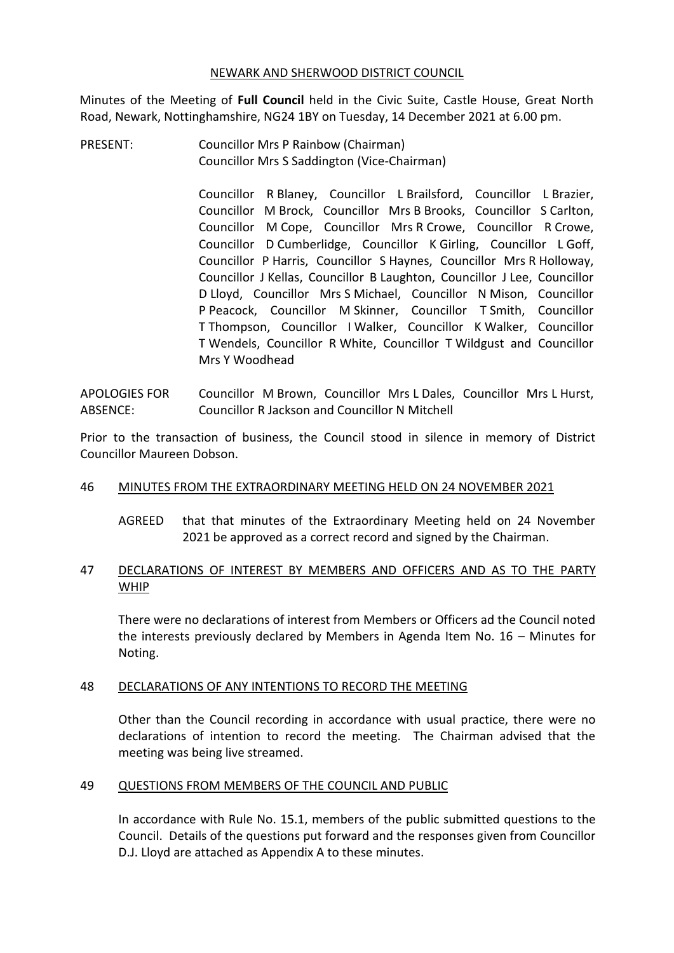#### NEWARK AND SHERWOOD DISTRICT COUNCIL

Minutes of the Meeting of **Full Council** held in the Civic Suite, Castle House, Great North Road, Newark, Nottinghamshire, NG24 1BY on Tuesday, 14 December 2021 at 6.00 pm.

PRESENT: Councillor Mrs P Rainbow (Chairman) Councillor Mrs S Saddington (Vice-Chairman)

> Councillor R Blaney, Councillor L Brailsford, Councillor L Brazier, Councillor M Brock, Councillor Mrs B Brooks, Councillor S Carlton, Councillor M Cope, Councillor Mrs R Crowe, Councillor R Crowe, Councillor D Cumberlidge, Councillor K Girling, Councillor L Goff, Councillor P Harris, Councillor S Haynes, Councillor Mrs R Holloway, Councillor J Kellas, Councillor B Laughton, Councillor J Lee, Councillor D Lloyd, Councillor Mrs S Michael, Councillor N Mison, Councillor P Peacock, Councillor M Skinner, Councillor T Smith, Councillor T Thompson, Councillor I Walker, Councillor K Walker, Councillor T Wendels, Councillor R White, Councillor T Wildgust and Councillor Mrs Y Woodhead

APOLOGIES FOR ABSENCE: Councillor M Brown, Councillor Mrs L Dales, Councillor Mrs L Hurst, Councillor R Jackson and Councillor N Mitchell

Prior to the transaction of business, the Council stood in silence in memory of District Councillor Maureen Dobson.

## 46 MINUTES FROM THE EXTRAORDINARY MEETING HELD ON 24 NOVEMBER 2021

AGREED that that minutes of the Extraordinary Meeting held on 24 November 2021 be approved as a correct record and signed by the Chairman.

# 47 DECLARATIONS OF INTEREST BY MEMBERS AND OFFICERS AND AS TO THE PARTY WHIP

There were no declarations of interest from Members or Officers ad the Council noted the interests previously declared by Members in Agenda Item No. 16 – Minutes for Noting.

## 48 DECLARATIONS OF ANY INTENTIONS TO RECORD THE MEETING

Other than the Council recording in accordance with usual practice, there were no declarations of intention to record the meeting. The Chairman advised that the meeting was being live streamed.

## 49 QUESTIONS FROM MEMBERS OF THE COUNCIL AND PUBLIC

In accordance with Rule No. 15.1, members of the public submitted questions to the Council. Details of the questions put forward and the responses given from Councillor D.J. Lloyd are attached as Appendix A to these minutes.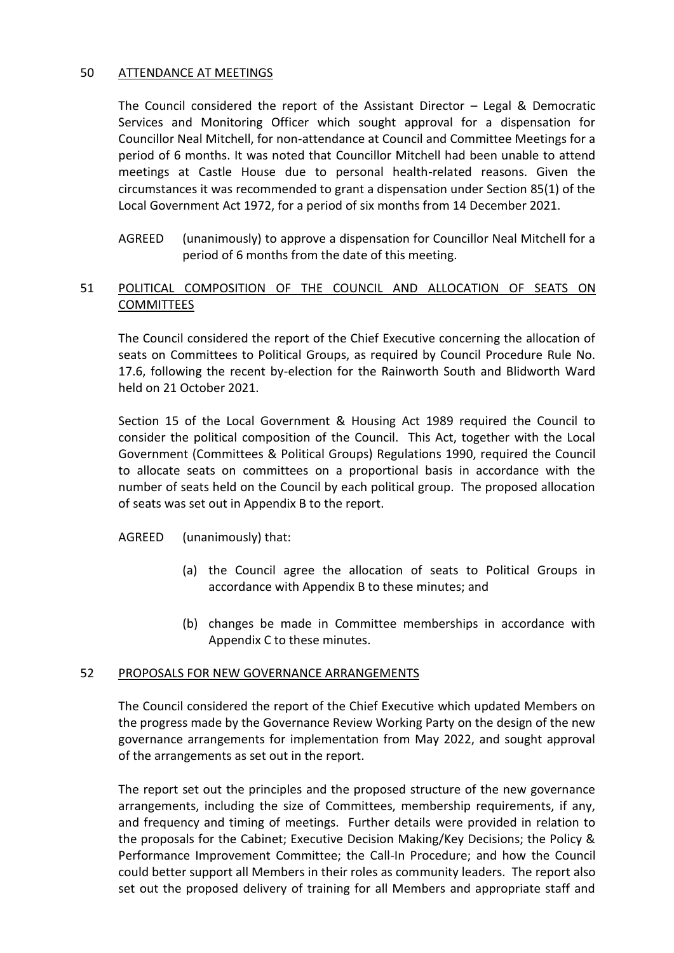## 50 ATTENDANCE AT MEETINGS

The Council considered the report of the Assistant Director – Legal & Democratic Services and Monitoring Officer which sought approval for a dispensation for Councillor Neal Mitchell, for non-attendance at Council and Committee Meetings for a period of 6 months. It was noted that Councillor Mitchell had been unable to attend meetings at Castle House due to personal health-related reasons. Given the circumstances it was recommended to grant a dispensation under Section 85(1) of the Local Government Act 1972, for a period of six months from 14 December 2021.

AGREED (unanimously) to approve a dispensation for Councillor Neal Mitchell for a period of 6 months from the date of this meeting.

# 51 POLITICAL COMPOSITION OF THE COUNCIL AND ALLOCATION OF SEATS ON COMMITTEES

The Council considered the report of the Chief Executive concerning the allocation of seats on Committees to Political Groups, as required by Council Procedure Rule No. 17.6, following the recent by-election for the Rainworth South and Blidworth Ward held on 21 October 2021.

Section 15 of the Local Government & Housing Act 1989 required the Council to consider the political composition of the Council. This Act, together with the Local Government (Committees & Political Groups) Regulations 1990, required the Council to allocate seats on committees on a proportional basis in accordance with the number of seats held on the Council by each political group. The proposed allocation of seats was set out in Appendix B to the report.

AGREED (unanimously) that:

- (a) the Council agree the allocation of seats to Political Groups in accordance with Appendix B to these minutes; and
- (b) changes be made in Committee memberships in accordance with Appendix C to these minutes.

## 52 PROPOSALS FOR NEW GOVERNANCE ARRANGEMENTS

The Council considered the report of the Chief Executive which updated Members on the progress made by the Governance Review Working Party on the design of the new governance arrangements for implementation from May 2022, and sought approval of the arrangements as set out in the report.

The report set out the principles and the proposed structure of the new governance arrangements, including the size of Committees, membership requirements, if any, and frequency and timing of meetings. Further details were provided in relation to the proposals for the Cabinet; Executive Decision Making/Key Decisions; the Policy & Performance Improvement Committee; the Call-In Procedure; and how the Council could better support all Members in their roles as community leaders. The report also set out the proposed delivery of training for all Members and appropriate staff and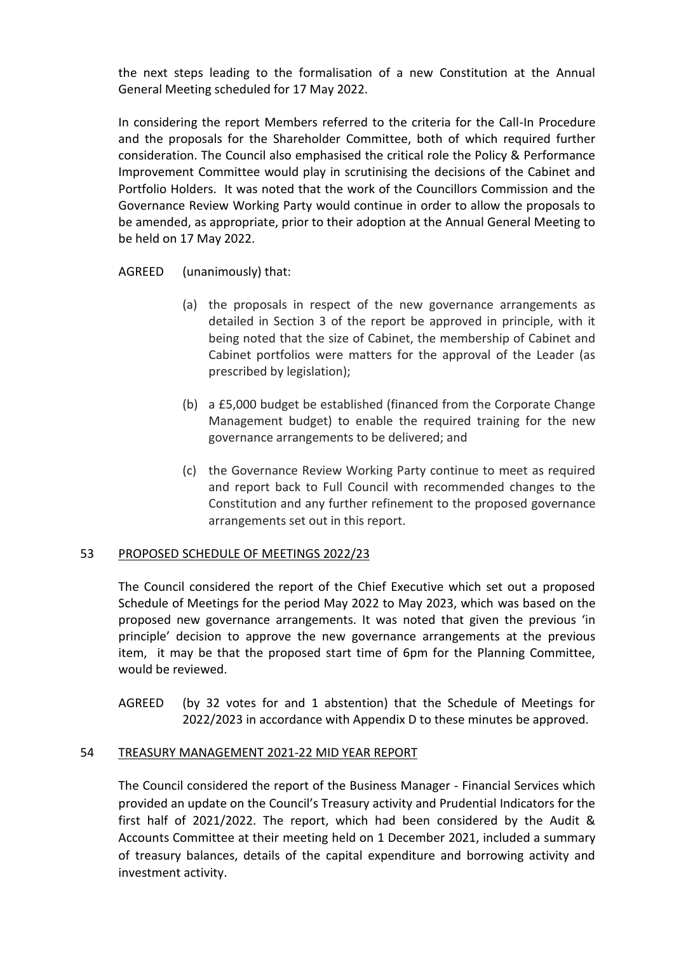the next steps leading to the formalisation of a new Constitution at the Annual General Meeting scheduled for 17 May 2022.

In considering the report Members referred to the criteria for the Call-In Procedure and the proposals for the Shareholder Committee, both of which required further consideration. The Council also emphasised the critical role the Policy & Performance Improvement Committee would play in scrutinising the decisions of the Cabinet and Portfolio Holders. It was noted that the work of the Councillors Commission and the Governance Review Working Party would continue in order to allow the proposals to be amended, as appropriate, prior to their adoption at the Annual General Meeting to be held on 17 May 2022.

AGREED (unanimously) that:

- (a) the proposals in respect of the new governance arrangements as detailed in Section 3 of the report be approved in principle, with it being noted that the size of Cabinet, the membership of Cabinet and Cabinet portfolios were matters for the approval of the Leader (as prescribed by legislation);
- (b) a £5,000 budget be established (financed from the Corporate Change Management budget) to enable the required training for the new governance arrangements to be delivered; and
- (c) the Governance Review Working Party continue to meet as required and report back to Full Council with recommended changes to the Constitution and any further refinement to the proposed governance arrangements set out in this report.

## 53 PROPOSED SCHEDULE OF MEETINGS 2022/23

The Council considered the report of the Chief Executive which set out a proposed Schedule of Meetings for the period May 2022 to May 2023, which was based on the proposed new governance arrangements. It was noted that given the previous 'in principle' decision to approve the new governance arrangements at the previous item, it may be that the proposed start time of 6pm for the Planning Committee, would be reviewed.

AGREED (by 32 votes for and 1 abstention) that the Schedule of Meetings for 2022/2023 in accordance with Appendix D to these minutes be approved.

## 54 TREASURY MANAGEMENT 2021-22 MID YEAR REPORT

The Council considered the report of the Business Manager - Financial Services which provided an update on the Council's Treasury activity and Prudential Indicators for the first half of 2021/2022. The report, which had been considered by the Audit & Accounts Committee at their meeting held on 1 December 2021, included a summary of treasury balances, details of the capital expenditure and borrowing activity and investment activity.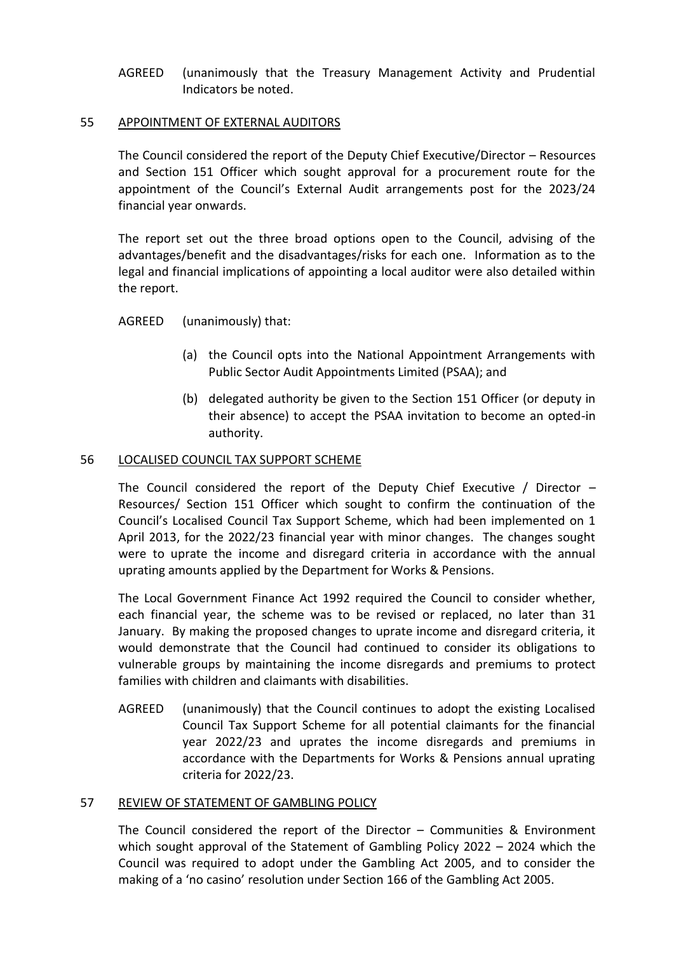AGREED (unanimously that the Treasury Management Activity and Prudential Indicators be noted.

#### 55 APPOINTMENT OF EXTERNAL AUDITORS

The Council considered the report of the Deputy Chief Executive/Director – Resources and Section 151 Officer which sought approval for a procurement route for the appointment of the Council's External Audit arrangements post for the 2023/24 financial year onwards.

The report set out the three broad options open to the Council, advising of the advantages/benefit and the disadvantages/risks for each one. Information as to the legal and financial implications of appointing a local auditor were also detailed within the report.

## AGREED (unanimously) that:

- (a) the Council opts into the National Appointment Arrangements with Public Sector Audit Appointments Limited (PSAA); and
- (b) delegated authority be given to the Section 151 Officer (or deputy in their absence) to accept the PSAA invitation to become an opted-in authority.

#### 56 LOCALISED COUNCIL TAX SUPPORT SCHEME

The Council considered the report of the Deputy Chief Executive / Director – Resources/ Section 151 Officer which sought to confirm the continuation of the Council's Localised Council Tax Support Scheme, which had been implemented on 1 April 2013, for the 2022/23 financial year with minor changes. The changes sought were to uprate the income and disregard criteria in accordance with the annual uprating amounts applied by the Department for Works & Pensions.

The Local Government Finance Act 1992 required the Council to consider whether, each financial year, the scheme was to be revised or replaced, no later than 31 January. By making the proposed changes to uprate income and disregard criteria, it would demonstrate that the Council had continued to consider its obligations to vulnerable groups by maintaining the income disregards and premiums to protect families with children and claimants with disabilities.

AGREED (unanimously) that the Council continues to adopt the existing Localised Council Tax Support Scheme for all potential claimants for the financial year 2022/23 and uprates the income disregards and premiums in accordance with the Departments for Works & Pensions annual uprating criteria for 2022/23.

#### 57 REVIEW OF STATEMENT OF GAMBLING POLICY

The Council considered the report of the Director – Communities & Environment which sought approval of the Statement of Gambling Policy 2022 – 2024 which the Council was required to adopt under the Gambling Act 2005, and to consider the making of a 'no casino' resolution under Section 166 of the Gambling Act 2005.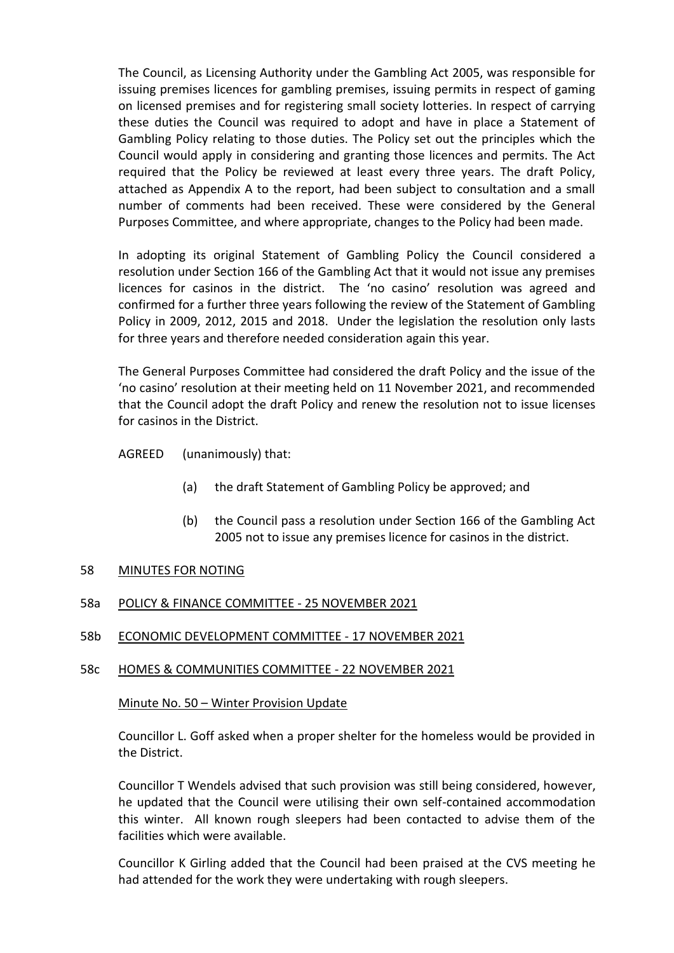The Council, as Licensing Authority under the Gambling Act 2005, was responsible for issuing premises licences for gambling premises, issuing permits in respect of gaming on licensed premises and for registering small society lotteries. In respect of carrying these duties the Council was required to adopt and have in place a Statement of Gambling Policy relating to those duties. The Policy set out the principles which the Council would apply in considering and granting those licences and permits. The Act required that the Policy be reviewed at least every three years. The draft Policy, attached as Appendix A to the report, had been subject to consultation and a small number of comments had been received. These were considered by the General Purposes Committee, and where appropriate, changes to the Policy had been made.

In adopting its original Statement of Gambling Policy the Council considered a resolution under Section 166 of the Gambling Act that it would not issue any premises licences for casinos in the district. The 'no casino' resolution was agreed and confirmed for a further three years following the review of the Statement of Gambling Policy in 2009, 2012, 2015 and 2018. Under the legislation the resolution only lasts for three years and therefore needed consideration again this year.

The General Purposes Committee had considered the draft Policy and the issue of the 'no casino' resolution at their meeting held on 11 November 2021, and recommended that the Council adopt the draft Policy and renew the resolution not to issue licenses for casinos in the District.

AGREED (unanimously) that:

- (a) the draft Statement of Gambling Policy be approved; and
- (b) the Council pass a resolution under Section 166 of the Gambling Act 2005 not to issue any premises licence for casinos in the district.

## 58 MINUTES FOR NOTING

## 58a POLICY & FINANCE COMMITTEE - 25 NOVEMBER 2021

58b ECONOMIC DEVELOPMENT COMMITTEE - 17 NOVEMBER 2021

#### 58c HOMES & COMMUNITIES COMMITTEE - 22 NOVEMBER 2021

#### Minute No. 50 – Winter Provision Update

Councillor L. Goff asked when a proper shelter for the homeless would be provided in the District.

Councillor T Wendels advised that such provision was still being considered, however, he updated that the Council were utilising their own self-contained accommodation this winter. All known rough sleepers had been contacted to advise them of the facilities which were available.

Councillor K Girling added that the Council had been praised at the CVS meeting he had attended for the work they were undertaking with rough sleepers.